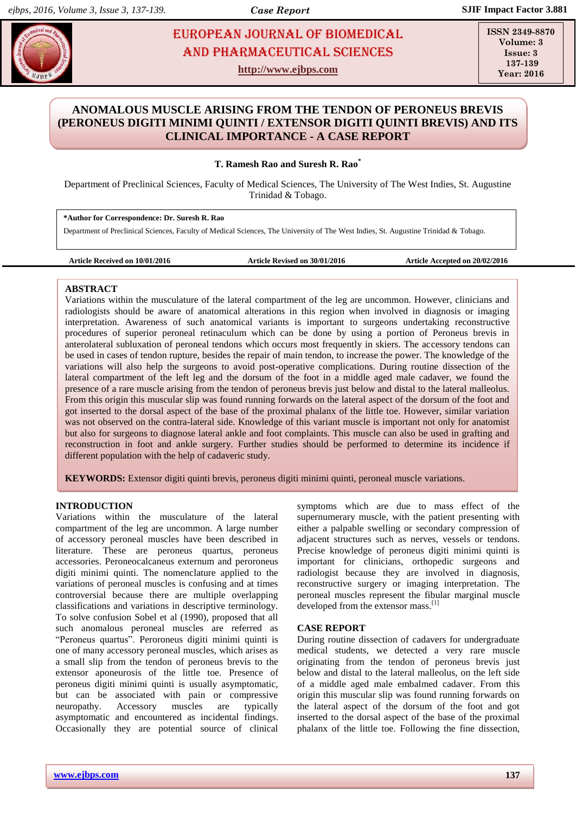# **Sureshing and Pharmaceutical Sciences** and Pharmaceutical Sciences and Pharmaceutical Sciences and Pharmaceutical Sciences European Journal of Biomedical AND Pharmaceutical sciences

**http://www.ejbps.com**

**ISSN 2349-8870 Volume: 3 Issue: 3 137-139 Year: 2016**

# **ANOMALOUS MUSCLE ARISING FROM THE TENDON OF PERONEUS BREVIS (PERONEUS DIGITI MINIMI QUINTI / EXTENSOR DIGITI QUINTI BREVIS) AND ITS CLINICAL IMPORTANCE - A CASE REPORT**

## **T. Ramesh Rao and Suresh R. Rao\***

Department of Preclinical Sciences, Faculty of Medical Sciences, The University of The West Indies, St. Augustine Trinidad & Tobago.

**\*Author for Correspondence: Dr. Suresh R. Rao**

Department of Preclinical Sciences, Faculty of Medical Sciences, The University of The West Indies, St. Augustine Trinidad & Tobago.

**Article Received on 10/01/2016 Article Revised on 30/01/2016 Article Accepted on 20/02/2016**

## **ABSTRACT**

Variations within the musculature of the lateral compartment of the leg are uncommon. However, clinicians and radiologists should be aware of anatomical alterations in this region when involved in diagnosis or imaging interpretation. Awareness of such anatomical variants is important to surgeons undertaking reconstructive procedures of superior peroneal retinaculum which can be done by using a portion of Peroneus brevis in anterolateral subluxation of peroneal tendons which occurs most frequently in skiers. The accessory tendons can be used in cases of tendon rupture, besides the repair of main tendon, to increase the power. The knowledge of the variations will also help the surgeons to avoid post-operative complications. During routine dissection of the lateral compartment of the left leg and the dorsum of the foot in a middle aged male cadaver, we found the presence of a rare muscle arising from the tendon of peroneus brevis just below and distal to the lateral malleolus. From this origin this muscular slip was found running forwards on the lateral aspect of the dorsum of the foot and got inserted to the dorsal aspect of the base of the proximal phalanx of the little toe. However, similar variation was not observed on the contra-lateral side. Knowledge of this variant muscle is important not only for anatomist but also for surgeons to diagnose lateral ankle and foot complaints. This muscle can also be used in grafting and reconstruction in foot and ankle surgery. Further studies should be performed to determine its incidence if different population with the help of cadaveric study.

**KEYWORDS:** Extensor digiti quinti brevis, peroneus digiti minimi quinti, peroneal muscle variations.

### **INTRODUCTION**

Variations within the musculature of the lateral compartment of the leg are uncommon. A large number of accessory peroneal muscles have been described in literature. These are peroneus quartus, peroneus accessories. Peroneocalcaneus externum and peroroneus digiti minimi quinti. The nomenclature applied to the variations of peroneal muscles is confusing and at times controversial because there are multiple overlapping classifications and variations in descriptive terminology. To solve confusion Sobel et al (1990), proposed that all such anomalous peroneal muscles are referred as "Peroneus quartus". Peroroneus digiti minimi quinti is one of many accessory peroneal muscles, which arises as a small slip from the tendon of peroneus brevis to the extensor aponeurosis of the little toe. Presence of peroneus digiti minimi quinti is usually asymptomatic, but can be associated with pain or compressive neuropathy. Accessory muscles are typically asymptomatic and encountered as incidental findings. Occasionally they are potential source of clinical symptoms which are due to mass effect of the supernumerary muscle, with the patient presenting with either a palpable swelling or secondary compression of adjacent structures such as nerves, vessels or tendons. Precise knowledge of peroneus digiti minimi quinti is important for clinicians, orthopedic surgeons and radiologist because they are involved in diagnosis, reconstructive surgery or imaging interpretation. The peroneal muscles represent the fibular marginal muscle developed from the extensor mass.<sup>[1]</sup>

### **CASE REPORT**

During routine dissection of cadavers for undergraduate medical students, we detected a very rare muscle originating from the tendon of peroneus brevis just below and distal to the lateral malleolus, on the left side of a middle aged male embalmed cadaver. From this origin this muscular slip was found running forwards on the lateral aspect of the dorsum of the foot and got inserted to the dorsal aspect of the base of the proximal phalanx of the little toe. Following the fine dissection,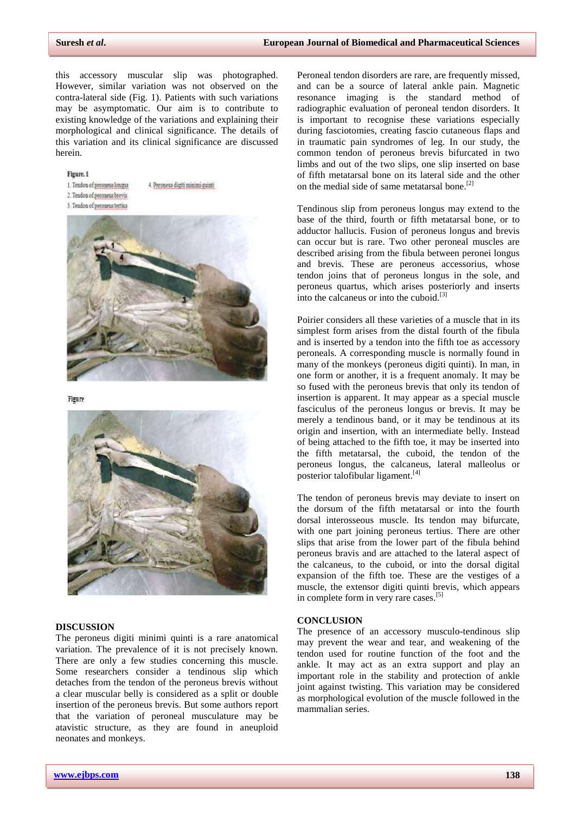this accessory muscular slip was photographed. However, similar variation was not observed on the contra-lateral side (Fig. 1). Patients with such variations may be asymptomatic. Our aim is to contribute to existing knowledge of the variations and explaining their morphological and clinical significance. The details of this variation and its clinical significance are discussed herein.

4. Peroneus digiti minimi quinti

#### Figure<sub>.1</sub>

1. Tendon of peroneus longus 2. Tendon of peroneus brevis

3. Tendon of peroneus tertius



Figure



#### **DISCUSSION**

The peroneus digiti minimi quinti is a rare anatomical variation. The prevalence of it is not precisely known. There are only a few studies concerning this muscle. Some researchers consider a tendinous slip which detaches from the tendon of the peroneus brevis without a clear muscular belly is considered as a split or double insertion of the peroneus brevis. But some authors report that the variation of peroneal musculature may be atavistic structure, as they are found in aneuploid neonates and monkeys.

Peroneal tendon disorders are rare, are frequently missed, and can be a source of lateral ankle pain. Magnetic resonance imaging is the standard method of radiographic evaluation of peroneal tendon disorders. It is important to recognise these variations especially during fasciotomies, creating fascio cutaneous flaps and in traumatic pain syndromes of leg. In our study, the common tendon of peroneus brevis bifurcated in two limbs and out of the two slips, one slip inserted on base of fifth metatarsal bone on its lateral side and the other on the medial side of same metatarsal bone.[2]

Tendinous slip from peroneus longus may extend to the base of the third, fourth or fifth metatarsal bone, or to adductor hallucis. Fusion of peroneus longus and brevis can occur but is rare. Two other peroneal muscles are described arising from the fibula between peronei longus and brevis. These are peroneus accessorius, whose tendon joins that of peroneus longus in the sole, and peroneus quartus, which arises posteriorly and inserts into the calcaneus or into the cuboid.[3]

Poirier considers all these varieties of a muscle that in its simplest form arises from the distal fourth of the fibula and is inserted by a tendon into the fifth toe as accessory peroneals. A corresponding muscle is normally found in many of the monkeys (peroneus digiti quinti). In man, in one form or another, it is a frequent anomaly. It may be so fused with the peroneus brevis that only its tendon of insertion is apparent. It may appear as a special muscle fasciculus of the peroneus longus or brevis. It may be merely a tendinous band, or it may be tendinous at its origin and insertion, with an intermediate belly. Instead of being attached to the fifth toe, it may be inserted into the fifth metatarsal, the cuboid, the tendon of the peroneus longus, the calcaneus, lateral malleolus or posterior talofibular ligament. [4]

The tendon of peroneus brevis may deviate to insert on the dorsum of the fifth metatarsal or into the fourth dorsal interosseous muscle. Its tendon may bifurcate, with one part joining peroneus tertius. There are other slips that arise from the lower part of the fibula behind peroneus bravis and are attached to the lateral aspect of the calcaneus, to the cuboid, or into the dorsal digital expansion of the fifth toe. These are the vestiges of a muscle, the extensor digiti quinti brevis, which appears in complete form in very rare cases.<sup>[5]</sup>

#### **CONCLUSION**

The presence of an accessory musculo-tendinous slip may prevent the wear and tear, and weakening of the tendon used for routine function of the foot and the ankle. It may act as an extra support and play an important role in the stability and protection of ankle joint against twisting. This variation may be considered as morphological evolution of the muscle followed in the mammalian series.